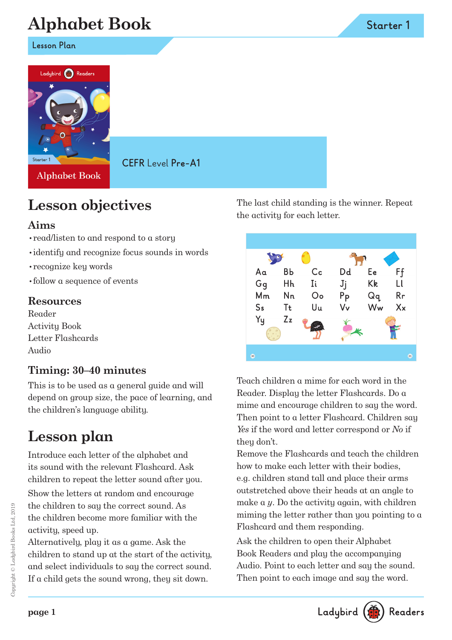# **Alphabet Book**

**Lesson Plan**



**Alphabet Book** 

**CEFR** Level **Pre-A1**

## **Lesson objectives**

### **Aims**

- •read/listen to and respond to a story
- •identify and recognize focus sounds in words
- •recognize key words
- •follow a sequence of events

### **Resources**

Reader Activity Book Letter Flashcards Audio

## **Timing: 30–40 minutes**

This is to be used as a general guide and will depend on group size, the pace of learning, and the children's language ability.

## **Lesson plan**

Introduce each letter of the alphabet and its sound with the relevant Flashcard. Ask children to repeat the letter sound after you.

Show the letters at random and encourage the children to say the correct sound. As the children become more familiar with the activity, speed up.

Alternatively, play it as a game. Ask the children to stand up at the start of the activity, and select individuals to say the correct sound. If a child gets the sound wrong, they sit down.

The last child standing is the winner. Repeat the activity for each letter.



Teach children a mime for each word in the Reader. Display the letter Flashcards. Do a mime and encourage children to say the word. Then point to a letter Flashcard. Children say *Yes* if the word and letter correspond or *No* if they don't.

Remove the Flashcards and teach the children how to make each letter with their bodies, e.g. children stand tall and place their arms outstretched above their heads at an angle to make a *y*. Do the activity again, with children miming the letter rather than you pointing to a Flashcard and them responding.

Ask the children to open their Alphabet Book Readers and play the accompanying Audio. Point to each letter and say the sound. Then point to each image and say the word.